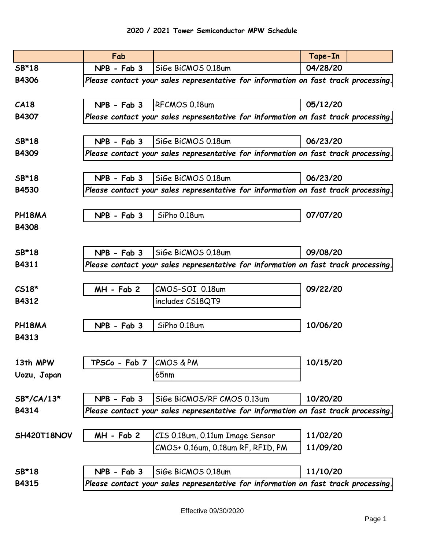|              | Fab           |                                                                                    | Tape-In  |  |
|--------------|---------------|------------------------------------------------------------------------------------|----------|--|
| SB*18        | NPB - Fab 3   | SiGe BiCMOS 0.18um                                                                 | 04/28/20 |  |
| <b>B4306</b> |               | Please contact your sales representative for information on fast track processing. |          |  |
|              |               |                                                                                    |          |  |
| CA18         | NPB - Fab 3   | RFCMOS 0.18um                                                                      | 05/12/20 |  |
| <b>B4307</b> |               | Please contact your sales representative for information on fast track processing. |          |  |
|              |               |                                                                                    |          |  |
| SB*18        | NPB - Fab 3   | SiGe BiCMOS 0.18um                                                                 | 06/23/20 |  |
| <b>B4309</b> |               | Please contact your sales representative for information on fast track processing. |          |  |
|              |               |                                                                                    |          |  |
| SB*18        | NPB - Fab 3   | SiGe BiCMOS 0.18um                                                                 | 06/23/20 |  |
| <b>B4530</b> |               | Please contact your sales representative for information on fast track processing. |          |  |
|              |               |                                                                                    |          |  |
| PH18MA       | $NPB - Fab 3$ | SiPho 0.18um                                                                       | 07/07/20 |  |
| <b>B4308</b> |               |                                                                                    |          |  |
|              |               |                                                                                    |          |  |
| SB*18        | $NPB - Fab 3$ | SiGe BiCMOS 0.18um                                                                 | 09/08/20 |  |
| B4311        |               | Please contact your sales representative for information on fast track processing. |          |  |
|              |               |                                                                                    |          |  |
| $CS18*$      | MH - Fab 2    | CMOS-SOI 0.18um                                                                    | 09/22/20 |  |
| B4312        |               | includes CS18QT9                                                                   |          |  |
|              |               |                                                                                    |          |  |
| PH18MA       | NPB - Fab 3   | SiPho 0.18um                                                                       | 10/06/20 |  |
| B4313        |               |                                                                                    |          |  |
|              |               |                                                                                    |          |  |
| 13th MPW     | TPSCo - Fab 7 | <b>CMOS &amp; PM</b>                                                               | 10/15/20 |  |
| Uozu, Japan  |               | 65 <sub>nm</sub>                                                                   |          |  |
|              |               |                                                                                    |          |  |
| SB*/CA/13*   | $NPB - Fab 3$ | SiGe BiCMOS/RF CMOS 0.13um                                                         | 10/20/20 |  |
| B4314        |               | Please contact your sales representative for information on fast track processing. |          |  |
|              |               |                                                                                    |          |  |
| SH420T18NOV  | $MH - Fab 2$  | CIS 0.18um, 0.11um Image Sensor                                                    | 11/02/20 |  |
|              |               | CMOS+ 0.16um, 0.18um RF, RFID, PM                                                  | 11/09/20 |  |
|              |               |                                                                                    |          |  |
| SB*18        | NPB - Fab 3   | SiGe BiCMOS 0.18um                                                                 | 11/10/20 |  |
| B4315        |               | Please contact your sales representative for information on fast track processing. |          |  |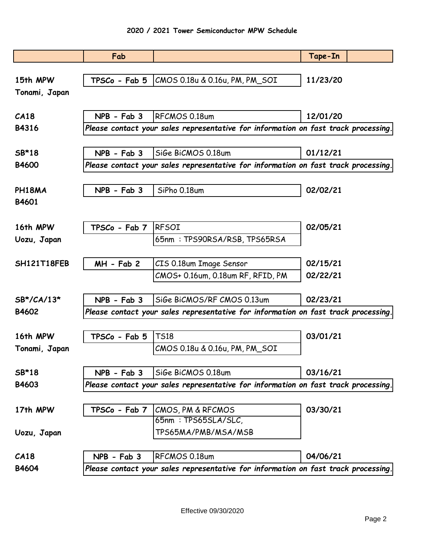|                            | Fab           |                                                                                    | Tape-In  |
|----------------------------|---------------|------------------------------------------------------------------------------------|----------|
|                            |               |                                                                                    |          |
| 15th MPW                   |               | TPSCo - Fab 5   CMOS 0.18u & 0.16u, PM, PM_SOI                                     | 11/23/20 |
| Tonami, Japan              |               |                                                                                    |          |
|                            |               |                                                                                    |          |
| CA18                       | NPB - Fab 3   | RFCMOS 0.18um                                                                      | 12/01/20 |
| <b>B4316</b>               |               | Please contact your sales representative for information on fast track processing. |          |
|                            |               |                                                                                    |          |
| SB*18                      | $NPB - Fab 3$ | SiGe BiCMOS 0.18um                                                                 | 01/12/21 |
| <b>B4600</b>               |               | Please contact your sales representative for information on fast track processing. |          |
|                            |               |                                                                                    |          |
| PH18MA                     | NPB - Fab 3   | SiPho 0.18um                                                                       | 02/02/21 |
| B4601                      |               |                                                                                    |          |
|                            |               |                                                                                    |          |
| 16th MPW                   | TPSCo - Fab 7 | <b>RFSOI</b>                                                                       | 02/05/21 |
| Uozu, Japan                |               | 65nm: TPS90RSA/RSB, TPS65RSA                                                       |          |
|                            |               |                                                                                    |          |
| SH121T18FEB                | $MH - Fab 2$  | CIS 0.18um Image Sensor                                                            | 02/15/21 |
|                            |               | CMOS+ 0.16um, 0.18um RF, RFID, PM                                                  | 02/22/21 |
|                            |               |                                                                                    |          |
| $SB^{\star}/CA/13^{\star}$ | $NPB - Fab 3$ | SiGe BiCMOS/RF CMOS 0.13um                                                         | 02/23/21 |
| <b>B4602</b>               |               | Please contact your sales representative for information on fast track processing. |          |
|                            |               |                                                                                    |          |
| 16th MPW                   | TPSCo - Fab 5 | <b>TS18</b>                                                                        | 03/01/21 |
| Tonami, Japan              |               | CMOS 0.18u & 0.16u, PM, PM_SOI                                                     |          |
|                            |               |                                                                                    |          |
| SB*18                      | $NPB - Fab 3$ | SiGe BiCMOS 0.18um                                                                 | 03/16/21 |
| B4603                      |               | Please contact your sales representative for information on fast track processing. |          |
|                            |               |                                                                                    |          |
| 17th MPW                   |               | TPSCo - Fab 7   CMOS, PM & RFCMOS                                                  | 03/30/21 |
|                            |               | 65nm: TPS65SLA/SLC,                                                                |          |
| Uozu, Japan                |               | TPS65MA/PMB/MSA/MSB                                                                |          |
|                            |               |                                                                                    |          |
| CA18                       | NPB - Fab 3   | RFCMOS 0.18um                                                                      | 04/06/21 |
| B4604                      |               | Please contact your sales representative for information on fast track processing. |          |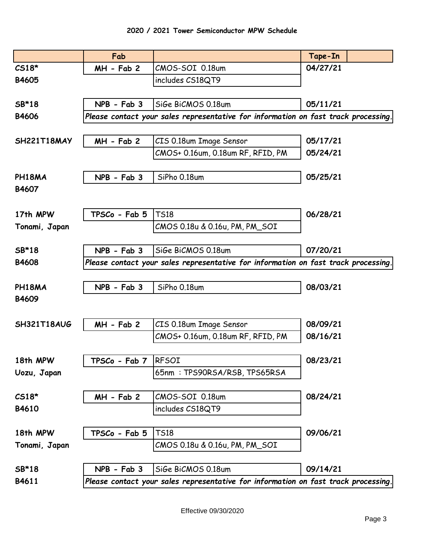|               | Fab                             |                                                                                    | Tape-In  |
|---------------|---------------------------------|------------------------------------------------------------------------------------|----------|
| $CS18*$       | $MH - Fab 2$                    | CMOS-SOI 0.18um                                                                    | 04/27/21 |
| B4605         |                                 | includes CS18QT9                                                                   |          |
|               |                                 |                                                                                    |          |
| SB*18         | NPB - Fab 3                     | SiGe BiCMOS 0.18um                                                                 | 05/11/21 |
| <b>B4606</b>  |                                 | Please contact your sales representative for information on fast track processing. |          |
|               |                                 |                                                                                    |          |
| SH221T18MAY   | $MH - Fab 2$                    | CIS 0.18um Image Sensor                                                            | 05/17/21 |
|               |                                 | CMOS+ 0.16um, 0.18um RF, RFID, PM                                                  | 05/24/21 |
|               |                                 |                                                                                    |          |
| PH18MA        | NPB - Fab 3                     | SiPho 0.18um                                                                       | 05/25/21 |
| B4607         |                                 |                                                                                    |          |
|               |                                 |                                                                                    |          |
| 17th MPW      | TPSCo - Fab 5                   | <b>TS18</b>                                                                        | 06/28/21 |
| Tonami, Japan |                                 | CMOS 0.18u & 0.16u, PM, PM_SOI                                                     |          |
|               |                                 |                                                                                    |          |
| SB*18         | $NPB - Fab 3$                   | SiGe BiCMOS 0.18um                                                                 | 07/20/21 |
| <b>B4608</b>  |                                 | Please contact your sales representative for information on fast track processing. |          |
|               |                                 |                                                                                    |          |
| PH18MA        | NPB - Fab 3                     | SiPho 0.18um                                                                       | 08/03/21 |
| B4609         |                                 |                                                                                    |          |
|               |                                 |                                                                                    |          |
| SH321T18AUG   | MH - Fab 2                      | CIS 0.18um Image Sensor                                                            | 08/09/21 |
|               |                                 | CMOS+ 0.16um, 0.18um RF, RFID, PM                                                  | 08/16/21 |
|               |                                 |                                                                                    |          |
| 18th MPW      | $TPSCo$ - Fab 7 $ {\sf RFSOI} $ |                                                                                    | 08/23/21 |
| Uozu, Japan   |                                 | 65nm: TPS90RSA/RSB, TPS65RSA                                                       |          |
|               |                                 |                                                                                    |          |
| $CS18*$       | $MH - Fab 2$                    | CMOS-SOI 0.18um                                                                    | 08/24/21 |
| B4610         |                                 | includes CS18QT9                                                                   |          |
|               |                                 |                                                                                    |          |
| 18th MPW      | TPSCo - Fab 5                   | <b>TS18</b>                                                                        | 09/06/21 |
| Tonami, Japan |                                 | CMOS 0.18u & 0.16u, PM, PM_SOI                                                     |          |
|               |                                 |                                                                                    |          |
| SB*18         | NPB - Fab 3                     | SiGe BiCMOS 0.18um                                                                 | 09/14/21 |
| B4611         |                                 | Please contact your sales representative for information on fast track processing. |          |